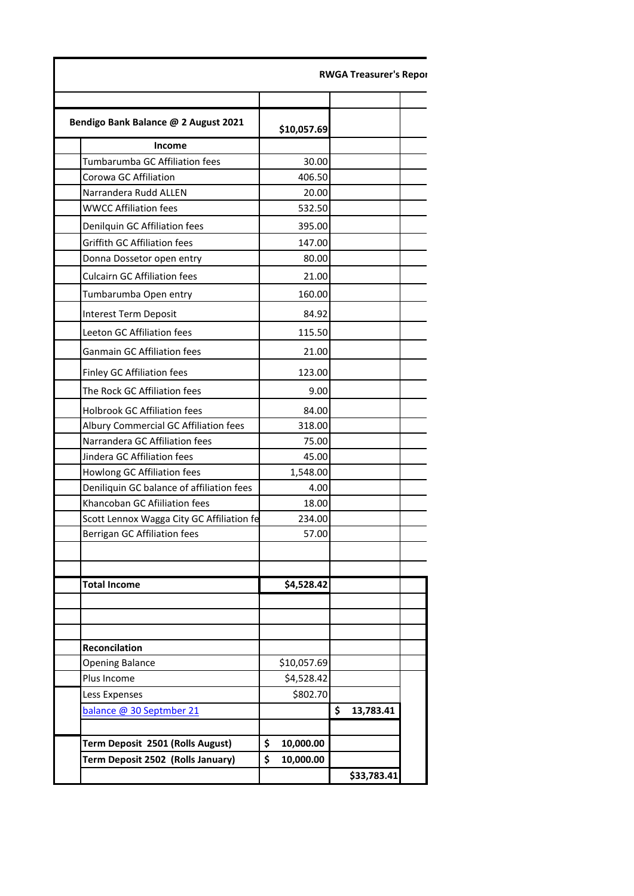|                                           |                 | <b>RWGA Treasurer's Repor</b> |  |
|-------------------------------------------|-----------------|-------------------------------|--|
| Bendigo Bank Balance @ 2 August 2021      | \$10,057.69     |                               |  |
| <b>Income</b>                             |                 |                               |  |
| Tumbarumba GC Affiliation fees            | 30.00           |                               |  |
| Corowa GC Affiliation                     | 406.50          |                               |  |
| Narrandera Rudd ALLEN                     | 20.00           |                               |  |
| <b>WWCC Affiliation fees</b>              | 532.50          |                               |  |
| Denilquin GC Affiliation fees             | 395.00          |                               |  |
| <b>Griffith GC Affiliation fees</b>       | 147.00          |                               |  |
| Donna Dossetor open entry                 | 80.00           |                               |  |
| <b>Culcairn GC Affiliation fees</b>       | 21.00           |                               |  |
| Tumbarumba Open entry                     | 160.00          |                               |  |
|                                           | 84.92           |                               |  |
| Interest Term Deposit                     |                 |                               |  |
| Leeton GC Affiliation fees                | 115.50          |                               |  |
| Ganmain GC Affiliation fees               | 21.00           |                               |  |
| Finley GC Affiliation fees                | 123.00          |                               |  |
| The Rock GC Affiliation fees              | 9.00            |                               |  |
| Holbrook GC Affiliation fees              | 84.00           |                               |  |
| Albury Commercial GC Affiliation fees     | 318.00          |                               |  |
| Narrandera GC Affiliation fees            | 75.00           |                               |  |
| Jindera GC Affiliation fees               | 45.00           |                               |  |
| Howlong GC Affiliation fees               | 1,548.00        |                               |  |
| Deniliquin GC balance of affiliation fees | 4.00            |                               |  |
| Khancoban GC Afiiliation fees             | 18.00           |                               |  |
| Scott Lennox Wagga City GC Affiliation fe | 234.00          |                               |  |
| Berrigan GC Affiliation fees              | 57.00           |                               |  |
|                                           |                 |                               |  |
| <b>Total Income</b>                       | \$4,528.42      |                               |  |
|                                           |                 |                               |  |
| Reconcilation                             |                 |                               |  |
| <b>Opening Balance</b>                    | \$10,057.69     |                               |  |
| Plus Income                               | \$4,528.42      |                               |  |
| Less Expenses                             | \$802.70        |                               |  |
| balance @ 30 Septmber 21                  |                 | \$<br>13,783.41               |  |
|                                           |                 |                               |  |
| Term Deposit 2501 (Rolls August)          | \$<br>10,000.00 |                               |  |
| Term Deposit 2502 (Rolls January)         | \$<br>10,000.00 |                               |  |
|                                           |                 | \$33,783.41                   |  |